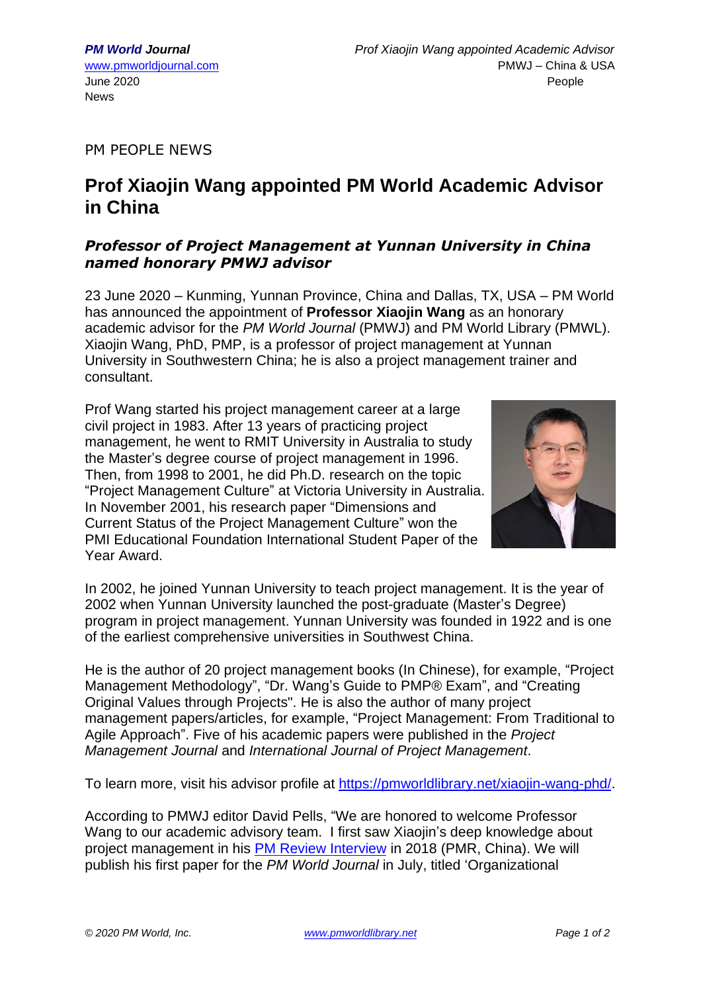PM PEOPLE NEWS

## **Prof Xiaojin Wang appointed PM World Academic Advisor in China**

## *Professor of Project Management at Yunnan University in China named honorary PMWJ advisor*

23 June 2020 – Kunming, Yunnan Province, China and Dallas, TX, USA – PM World has announced the appointment of **Professor Xiaojin Wang** as an honorary academic advisor for the *PM World Journal* (PMWJ) and PM World Library (PMWL). Xiaojin Wang, PhD, PMP, is a professor of project management at Yunnan University in Southwestern China; he is also a project management trainer and consultant.

Prof Wang started his project management career at a large civil project in 1983. After 13 years of practicing project management, he went to RMIT University in Australia to study the Master's degree course of project management in 1996. Then, from 1998 to 2001, he did Ph.D. research on the topic "Project Management Culture" at Victoria University in Australia. In November 2001, his research paper "Dimensions and Current Status of the Project Management Culture" won the PMI Educational Foundation International Student Paper of the Year Award.



In 2002, he joined Yunnan University to teach project management. It is the year of 2002 when Yunnan University launched the post-graduate (Master's Degree) program in project management. Yunnan University was founded in 1922 and is one of the earliest comprehensive universities in Southwest China.

He is the author of 20 project management books (In Chinese), for example, "Project Management Methodology", "Dr. Wang's Guide to PMP® Exam", and "Creating Original Values through Projects". He is also the author of many project management papers/articles, for example, "Project Management: From Traditional to Agile Approach". Five of his academic papers were published in the *Project Management Journal* and *International Journal of Project Management*.

To learn more, visit his advisor profile at [https://pmworldlibrary.net/xiaojin-wang-phd/.](https://pmworldlibrary.net/xiaojin-wang-phd/)

According to PMWJ editor David Pells, "We are honored to welcome Professor Wang to our academic advisory team. I first saw Xiaojin's deep knowledge about project management in his PM Review [Interview](http://www.pmreview.com.cn/english/Home/article/detail/id/228.html) in 2018 (PMR, China). We will publish his first paper for the *PM World Journal* in July, titled 'Organizational